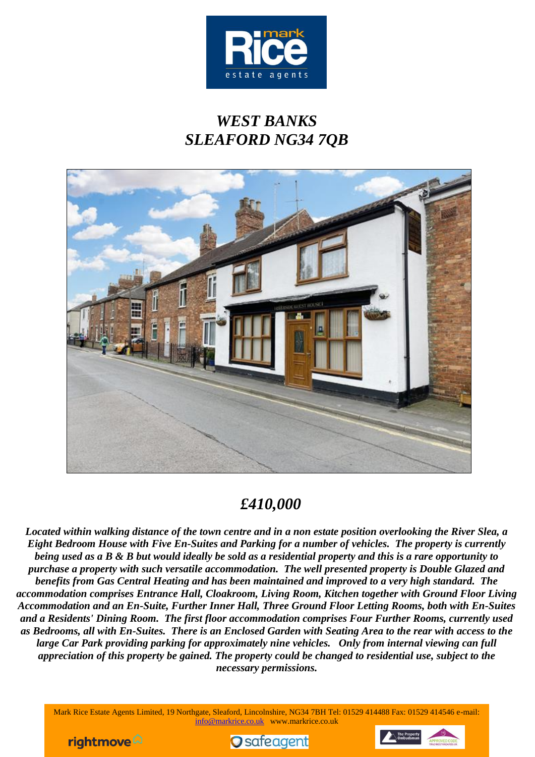

# *WEST BANKS SLEAFORD NG34 7QB*



# *£410,000*

*Located within walking distance of the town centre and in a non estate position overlooking the River Slea, a Eight Bedroom House with Five En-Suites and Parking for a number of vehicles. The property is currently being used as a B & B but would ideally be sold as a residential property and this is a rare opportunity to purchase a property with such versatile accommodation. The well presented property is Double Glazed and benefits from Gas Central Heating and has been maintained and improved to a very high standard. The accommodation comprises Entrance Hall, Cloakroom, Living Room, Kitchen together with Ground Floor Living Accommodation and an En-Suite, Further Inner Hall, Three Ground Floor Letting Rooms, both with En-Suites and a Residents' Dining Room. The first floor accommodation comprises Four Further Rooms, currently used as Bedrooms, all with En-Suites. There is an Enclosed Garden with Seating Area to the rear with access to the large Car Park providing parking for approximately nine vehicles. Only from internal viewing can full appreciation of this property be gained. The property could be changed to residential use, subject to the necessary permissions.*

Mark Rice Estate Agents Limited, 19 Northgate, Sleaford, Lincolnshire, NG34 7BH Tel: 01529 414488 Fax: 01529 414546 e-mail: info@markrice.co.uk www.markrice.co.uk

rightmove  $\hat{\omega}$ 



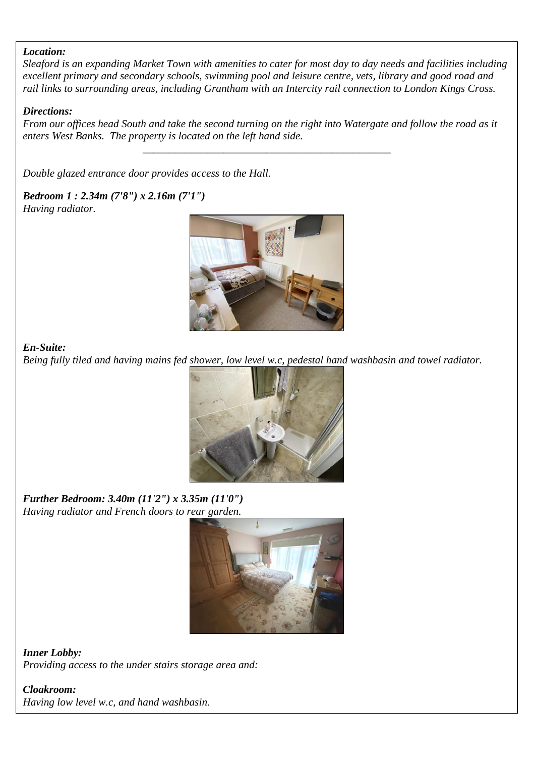#### *Location:*

*Sleaford is an expanding Market Town with amenities to cater for most day to day needs and facilities including excellent primary and secondary schools, swimming pool and leisure centre, vets, library and good road and rail links to surrounding areas, including Grantham with an Intercity rail connection to London Kings Cross.*

#### *Directions:*

*From our offices head South and take the second turning on the right into Watergate and follow the road as it enters West Banks. The property is located on the left hand side.*

*\_\_\_\_\_\_\_\_\_\_\_\_\_\_\_\_\_\_\_\_\_\_\_\_\_\_\_\_\_\_\_\_\_\_\_\_\_\_\_\_\_\_\_\_\_\_*

*Double glazed entrance door provides access to the Hall.*

#### *Bedroom 1 : 2.34m (7'8") x 2.16m (7'1") Having radiator.*



#### *En-Suite:*

*Being fully tiled and having mains fed shower, low level w.c, pedestal hand washbasin and towel radiator.*



*Further Bedroom: 3.40m (11'2") x 3.35m (11'0") Having radiator and French doors to rear garden.*



*Inner Lobby: Providing access to the under stairs storage area and:*

## *Cloakroom: Having low level w.c, and hand washbasin.*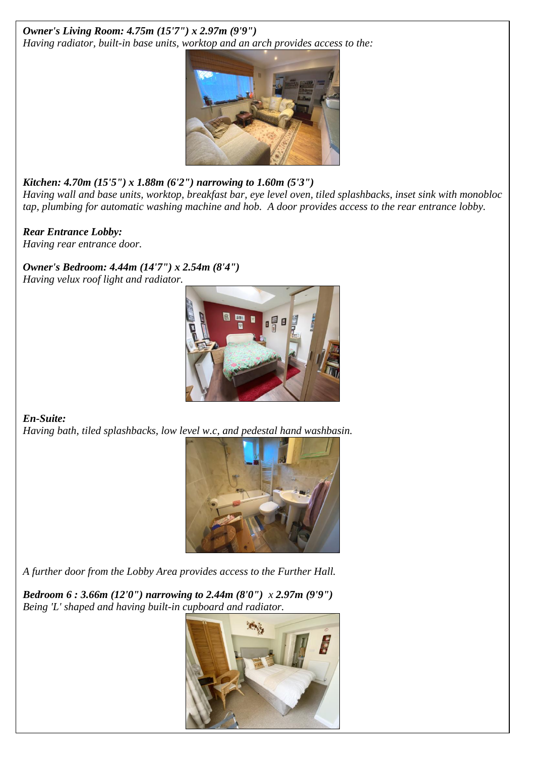*Owner's Living Room: 4.75m (15'7") x 2.97m (9'9") Having radiator, built-in base units, worktop and an arch provides access to the:*



*Kitchen: 4.70m (15'5") x 1.88m (6'2") narrowing to 1.60m (5'3") Having wall and base units, worktop, breakfast bar, eye level oven, tiled splashbacks, inset sink with monobloc tap, plumbing for automatic washing machine and hob. A door provides access to the rear entrance lobby.*

# *Rear Entrance Lobby:*

*Having rear entrance door.*

*Owner's Bedroom: 4.44m (14'7") x 2.54m (8'4") Having velux roof light and radiator.*



#### *En-Suite:*

*Having bath, tiled splashbacks, low level w.c, and pedestal hand washbasin.*



*A further door from the Lobby Area provides access to the Further Hall.*

*Bedroom 6 : 3.66m (12'0") narrowing to 2.44m (8'0") x 2.97m (9'9") Being 'L' shaped and having built-in cupboard and radiator.*

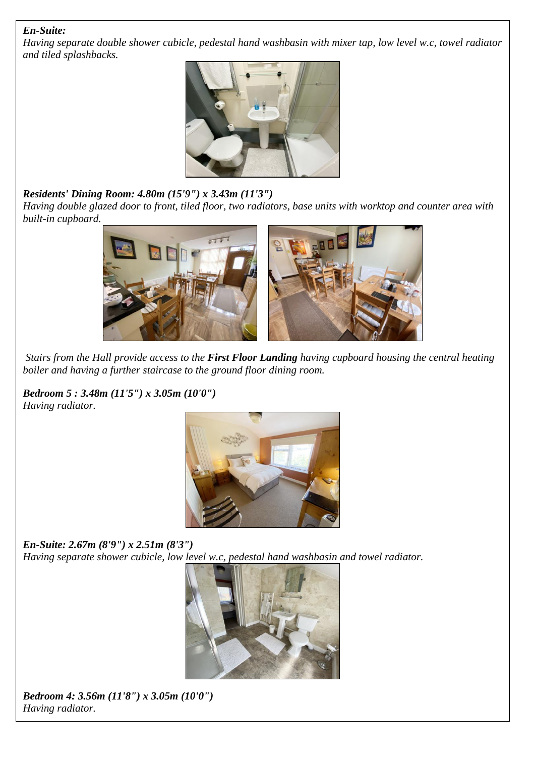#### *En-Suite:*

*Having separate double shower cubicle, pedestal hand washbasin with mixer tap, low level w.c, towel radiator and tiled splashbacks.*



# *Residents' Dining Room: 4.80m (15'9") x 3.43m (11'3")*

*Having double glazed door to front, tiled floor, two radiators, base units with worktop and counter area with built-in cupboard.*



*Stairs from the Hall provide access to the First Floor Landing having cupboard housing the central heating boiler and having a further staircase to the ground floor dining room.*

*Bedroom 5 : 3.48m (11'5") x 3.05m (10'0") Having radiator.*



*En-Suite: 2.67m (8'9") x 2.51m (8'3") Having separate shower cubicle, low level w.c, pedestal hand washbasin and towel radiator.*



*Bedroom 4: 3.56m (11'8") x 3.05m (10'0") Having radiator.*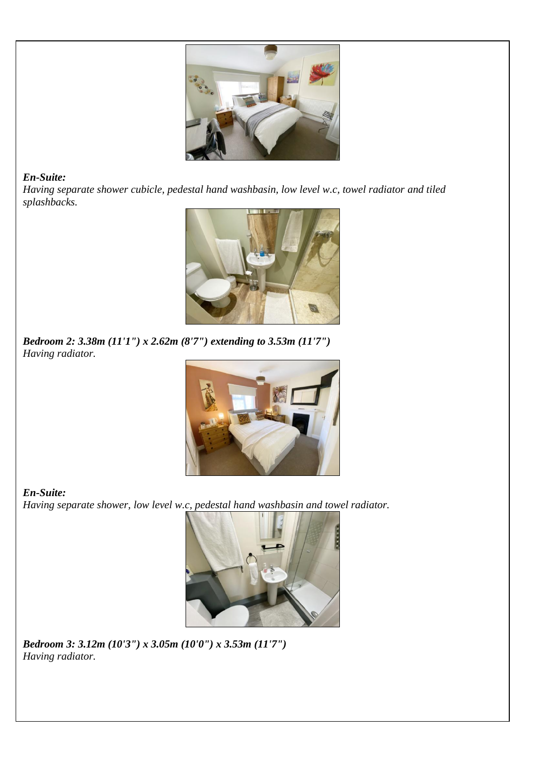

### *En-Suite:*

*Having separate shower cubicle, pedestal hand washbasin, low level w.c, towel radiator and tiled splashbacks.*



*Bedroom 2: 3.38m (11'1") x 2.62m (8'7") extending to 3.53m (11'7") Having radiator.*



*En-Suite: Having separate shower, low level w.c, pedestal hand washbasin and towel radiator.*



*Bedroom 3: 3.12m (10'3") x 3.05m (10'0") x 3.53m (11'7") Having radiator.*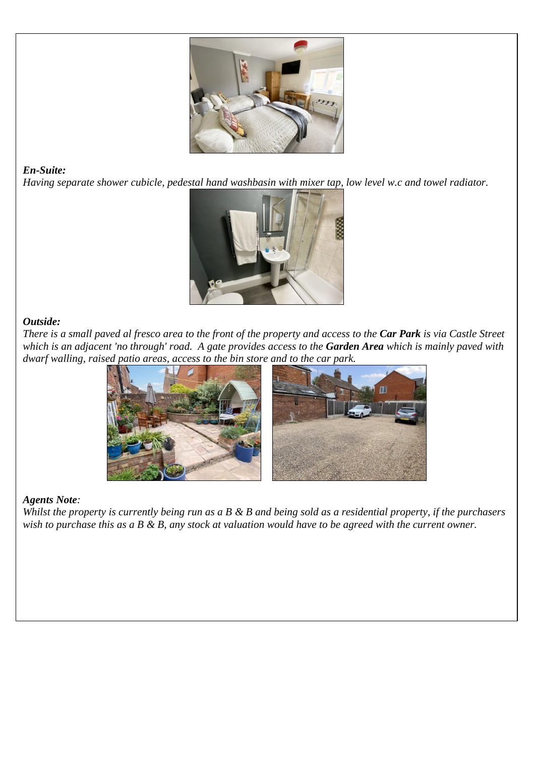

# *En-Suite:*

*Having separate shower cubicle, pedestal hand washbasin with mixer tap, low level w.c and towel radiator.*



## *Outside:*

*There is a small paved al fresco area to the front of the property and access to the Car Park is via Castle Street which is an adjacent 'no through' road. A gate provides access to the Garden Area which is mainly paved with dwarf walling, raised patio areas, access to the bin store and to the car park.* 



# *Agents Note:*

*Whilst the property is currently being run as a B & B and being sold as a residential property, if the purchasers wish to purchase this as a B & B, any stock at valuation would have to be agreed with the current owner.*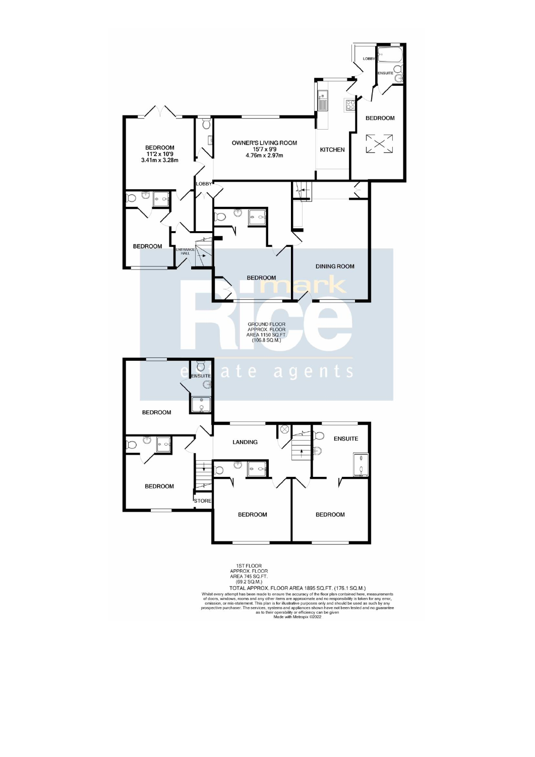